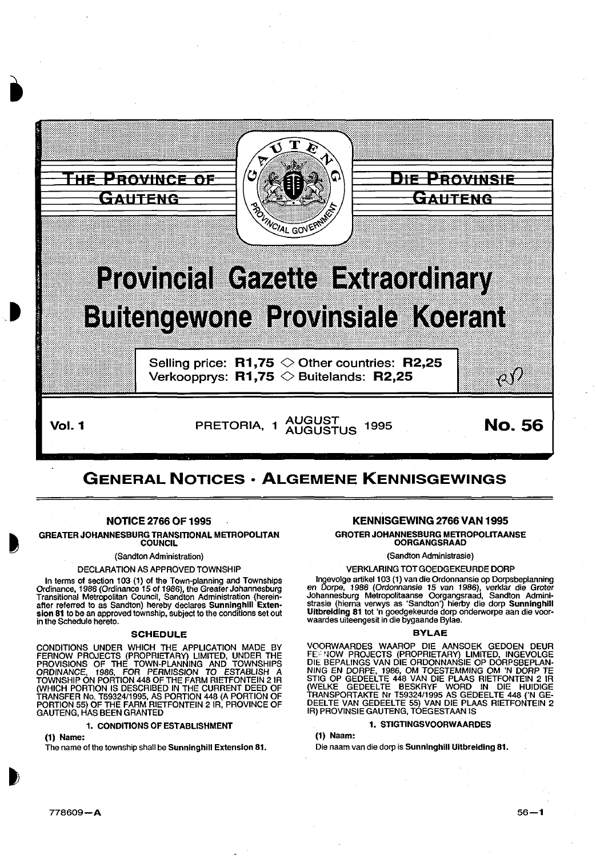

# GENERAL NOTICES • ALGEMENE KENNISGEWINGS

# NOTICE 2766 OF 1995

GREATER JOHANNESBURG TRANSITIONAL METROPOLITAN **COUNCIL** 

#### (Sandton Administration)

#### DECLARATION AS APPROVED TOWNSHIP

In terms of section 103 (1) of the Town-planning and Townships Ordinance, 1986 (Ordinance 15 of 1986), the Greater Johannesburg Transitional Metropolitan Council, Sandton Administration (hereinafter referred to as Sandton) hereby declares **Sunninghill Exten-**<br>**sion 81** to be an approved township, subject to the conditions set out in the Schedule hereto.

#### SCHEDULE

CONDITIONS UNDER WHICH THE APPLICATION MADE BY FERNOW PROJECTS (PROPRIETARY) LIMITED, UNDER THE PROVISIONS OF THE TOWN-PLANNING AND TOWNSHIPS ORDINANCE, 1986, FOR PERMISSION TO ESTABLISH A TOWNSHIP ON PORTION 448 OF THE FARM RIETFONTEIN 2 IR (WHICH PORTION IS DESCRIBED IN THE CURRENT DEED OF TRANSFER No. T59324/1995, AS PORTION 448 (A PORTION OF PORTION 55) OF THE FARM RIETFONTEIN 2 IR, PROVINCE OF GAUTENG, HAS BEEN GRANTED

#### 1. CONDITIONS OF ESTABLISHMENT

(1) Name:

The name of the township shall be Sunnlnghill Extension 81.

# KENNISGEWING 2766 VAN 1995

GROTER JOHANNESBURG METROPOLITAANSE OORGANGSRAAD

#### (Sandton Administrasie)

VERKLARING TOT GOEDGEKEURDE DORP

lngevolge artikel1 03 (1) van die Ordonnansie op Dorpsbeplanning en Dorpe, 1986 (Ordonnansie 15 van 1986), verklar die Groter Johannesburg Metropolitaanse Oorgangsraad, Sandton Admini-strasie (hierna verwys as 'Sandton') hierby die dorp Sunnlnghlll Uitbrelding 81 tot 'n goedgekeurde dorp onderworpe aan die voor-<br>waardes uiteengesit in die bygaande Bylae.

#### BYLAE

VOORWAARDES WAAROP DIE AANSOEK GEDOEN DEUR FE·' 'JOW PROJECTS (PROPRIETARY) LIMITED, INGEVOLGE DIE BEPALINGS VAN DIE ORDONNANSIE OP DORPSBEPLAN-NING EN DORPE, 1986, OM TOESTEMMING OM 'N DORP TE STIG OP GEDEELTE 448 VAN DIE PLAAS RIETFONTEIN 2 IR (WELKE GEDEELTE BESKRYF WORD IN DIE HUIDIGE TRANSPORTAKTE Nr T59324/1995 AS GEDEELTE 448 ('N GE-DEELTE VAN GEDEELTE 55) VAN DIE PLAAS RIETFONTEIN 2 IR) PROVINSIE GAUTENG, TOEGESTAAN IS

#### 1. STIGTINGSVOORWAARDES

(1) Naam:

Die naam van die dorp is Sunninghill Uitbreiding 81.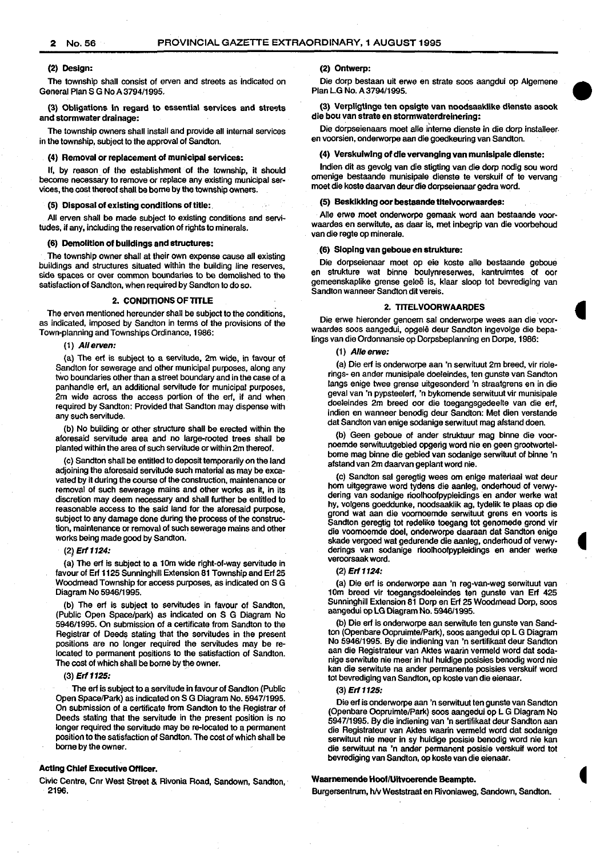## (2) Design:

The township shall consist of erven and streets as indicated on General Plan S G No A 3794/1995.

(3) Obligations in regard to essential services and streets and stormwater drainage:

The township owners shall install and provide all internal services in the township, subject to the approval of Sandton.

#### (4) Removal or replacement of municipal services:

If, by reason. of the establishment of the township, it should become necessary to remove or replace any existing municipal services, the cost thereof shall be borne by the township owners.

#### (5) Disposal of existing conditions of title:

All erven shall be made subject to existing conditions and servitudes, if any, including the reservation of rights to minerals.

## (6) Demolition of buildings and structures:

The township owner shall at their own expense cause all existing buildings and structures situated within the building line reserves, side spaces or over common boundaries to be demolished to the satisfaction of Sandton, when required by Sandton to do so.

#### 2. CONDITIONS OF TITLE

The erven mentioned hereunder shall be subject to the conditions, as indicated, imposed by Sandton in terms of the provisions of the Town-planning and Townships Ordinance, 1986:

#### (1) *A// erven:*

(a) The erf is subject to a servitude, 2m wide, in favour of Sandton for sewerage and other municipal purposes, along any two boundaries other than a street boundary and in the case of a panhandle erf, an additional servitude for municipal purposes, 2m wide across the access portion of the erf, if and when required by Sandton: Provided that Sandton may dispense with any such servitude.

(b) No building or other structure shall be erected within the aforesaid servitude area and no large-rooted trees shall be planted within the area of such servitude or within 2m thereof.

(c) Sandton shall be entitled to deposit temporarily on the land adjoining the aforesaid servitude such material as may be excavated by it during the course of the construction, maintenance or removal of such sewerage mains and other works as it, in its discretion may deem necessary and shall further be entitled to reasonable access to the said land for the aforesaid purpose, subject to any damage done during the process of the construction, maintenance or removal of such sewerage mains and other works being made good by Sandton.

#### (2) Erf 1124:

(a) The erf is subject to a 10m wide right-of-way servitude in favour of Erf 1125 Sunninghill Extension 81 Township and Erf 25 Woodmead Township for access purposes, as indicated on S G Diagram No 5946/1995.

(b) The erf is subject to servitudes in favour of Sandton, (Public Open Space/park) as indicated on S G Diagram No 5946/1995. On submission of a certificate from Sandton to the Registrar of Deeds stating that the servitudes in the present positions are no longer required the servitudes may be relocated to permanent positions to the satisfaction of Sandton. The cost of which shall be borne by the owner.

#### (3) Erf 1125:

The erf is subject to a servitude in favour of Sandton (Public Open Space/Park) as indicated on S G Diagram No. 5947/1995. On submission of a certificate from Sandton to the Registrar of Deeds stating that the servitude in the present position is no longer required the servitude may be re-located to a permanent position to the satisfaction of Sandton. The cost of which shall be borne by the owner.

#### Acting Chief Executive Officer.

Civic Centre, Cnr West Street & Rivonia Road, Sandown, Sandton 2196. •

# (2) Ontwerp:

Die dorp bestaan uit erwe en strate soos aangdui op Algemene Plan LG No. A 3794/1995. ·

•

(3) Verpligtinge ten opsigte van noodsaaklike dienste asook die bou van strate en stormwaterdrelnering:

Die dorpseienaars moet aile interne dienste in die dorp installeer en voorsien, onderworpe aan die goedkeuring van Sandton.

#### (4) Verskulwlng of die vervanging van munlslpale dienste:

lndien dit as gevolg van die stigting van die dorp nodig sou word omenige bestaande munisipale dienste te verskuif of te vervang moet die koste daarvan deur die dorpseienaar gedra word.

#### (5) Beskikking oor bestaande titelvoorwaardes:

Aile erwe moet onderworpe gemaak word aan bestaande voorwaardes en serwitute, as daar is, met inbegrip van die voorbehoud van die regte op minerale.

#### (6) Sloping van geboue en strukture:

Die dorpseienaar moet op eie koste aile bestaande geboue en strukture wat binne boulynreserwes, kantruimtes of oor gemeenskaplike grense geleë is, klaar sloop tot bevrediging van Sandton wanneer Sandton dit vereis.

#### 2. TITELVOORWAARDES

Die erwe hieronder genoem sal onderworpe wees aan die voorwaardes soos aangedui, opgelê deur Sandton ingevolge die bepalings van die Ordonnansie op Dorpsbeplanning en Dorpe, 1986:

#### (1) Alle erwe:

(a) Die erf is onderworpe aan 'n serwituut 2m breed, vir riolerings- en ander munisipale doeleindes, ten gunste van Sandton langs enige twee grense uitgesonderd 'n straatgrens en in die geval van 'n pypsteelerf, 'n bykomende serwituut vir munisipale doeleindes 2m breed oor die toegangsgedeelte van die erf, indien en wanneer benodig deur Sandton: Met dien verstande dat Sandton van enige sodanige serwituut mag atstand doen.

(b) Geen geboue of ander struktuur mag binne die voornoemde serwituutgebied opgerig word nie en geen grootwortelbome mag binne die gebied van sodanige serwituut of binne 'n afstand van 2m daarvan geplant word nie.

(c) Sandton sal geregtig wees om enige materiaal wat deur hom uitgegrawe word tydens die aanleg, onderhoud of verwydering van sodanige rioolhoofpypleidings en ander werke wat hy, volgens goeddunke, noodsaaklik ag, tydelik te plaas op die grand wat aan die voomoemde serwituut grens en voorts is Sandton geregtig tot redelike toegang tot genomede grond vir die voomoemde doel, onderworpe daaraan dat Sandton enige skade vergoed wat gedurende die aanleg, onderhoud of verwyderings van sodanige rioolhoofpypleidings en ander werke veroorsaak word.

# (2) Erf 1124:

(a) Die erf is onderworpe aan 'n reg-van-weg serwituut van 1Om breed vir toegangsdoeleindes ten gunste van Erf 425 Sunninghill Extension 81 Dorp en Erf 25 Woodmead Dorp, soos aangedui op LG Diagram No. 594611995.

(b) Die erf is onderworpe aan serwitute ten gunste van Sandton (Openbare Oopruimte/Park), soos aangedui op L G Diagram No 5946/1995. By die indiening van 'n sertifikaat deur Sandton aan die Registrateur van Aktes waarin vermeld word dat sodanige serwitute nie meer in hul huidige posisies benodig word nie kan die serwitute na ander permanente posisies verskuif word tot bevrediging van Sandton, op koste van die eienaar.

(3) Erf1125:

Die erf is onderworpe aan 'n serwituut ten gunste van Sandton (Openbare Oopruimte/Park) soos aangedui op L G Diagram No 5947/1995. By die indiening van 'n sertifikaat deur Sandton aan die Registrateur van Aktes waarin vermeld word dat sodanige serwituut nie meer in sy huidige posisie benodig word nie kan die serwituut na 'n ander permanent posisie verskuif word tot bevrediging van Sandton, op koste van die eienaar.

# Waarnemende Hoof/UHvoerende Beampte.

Burgersentrum, hlv Weststraat en Rivoniaweg, Sandown, Sandton.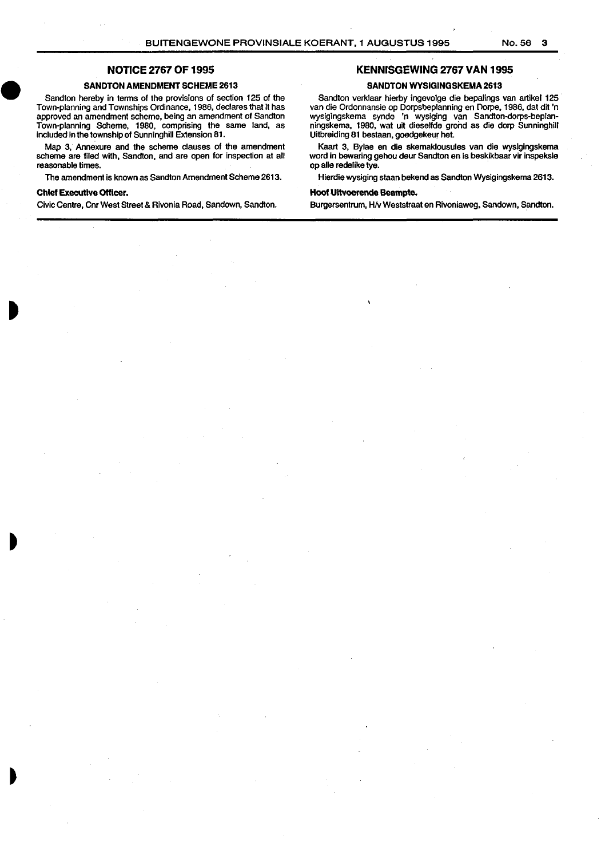# NOTICE 2767 OF 1995

# SANDTON AMENDMENT SCHEME 2613

 $\Gamma$ <sup>1</sup> To app  $\Gamma$ <sup>1</sup> To  $\Gamma$ Sandton hereby in terms of the provisions of section 125 of the Town-planning and Townships Ordinance, 1986, declares that it has approved an amendment scheme, being an amendment of Sandton Town-planning Scheme, 1980, comprising the same land, as included in the township of Sunninghill Extension 81.

> Map 3, Annexure and the scheme clauses of the amendment scheme are filed with, Sandton, and are open for inspection at all reasonable times.

The amendment is known as Sandton Amendment Scheme 2613.

# Chief Executive Officer.

Civic Centre, Cnr West Street & Rivonia Road, Sandown, Sandton.

#### KENNISGEWING 2767 VAN 1995

#### SANDTON WYSIGINGSKEMA 2613

Sandton verklaar hierby lngevolge die bepalings van artikel 125 van die Ordonnansie op Dorpsbeplanning en Oorpe, 1986, dat dit 'n wysigingskema synde 'n wysiging van Sandton-dorps-beplanningskema, 1980, wat uit dieselfde grond as die dorp Sunninghill Uitbreiding 81 bestaan, goedgekeur het.

Kaart 3, Bylae en die skemaklousules van die wysigingskema word in bewaring gehou deur Sandton en is beskikbaar vir inspeksle op aile redelike tye.

Hierdie wysiging staan bekend as Sandton Wysigingskema 2613.

# Hoof Ultvoerende Beampte.

Burgersentrum, H/v Weststraat en Rivoniaweg, Sandown, Sandton.